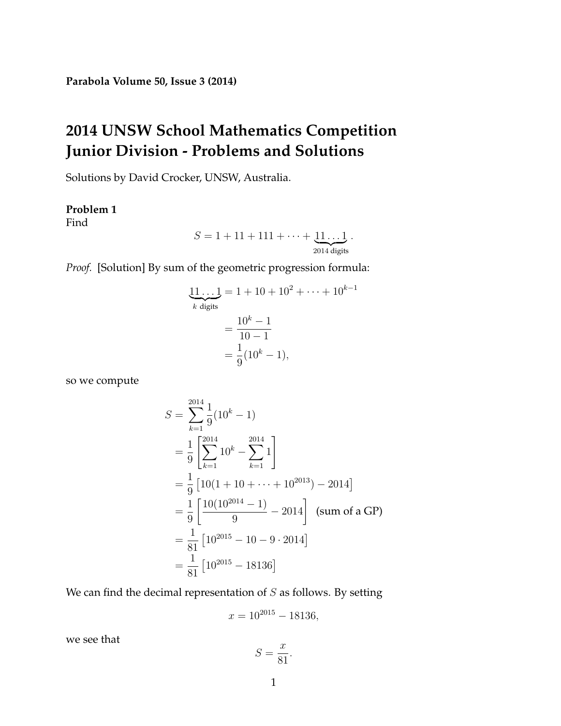# **2014 UNSW School Mathematics Competition Junior Division - Problems and Solutions**

Solutions by David Crocker, UNSW, Australia.

# **Problem 1**

Find

$$
S = 1 + 11 + 111 + \cdots + \underbrace{11 \ldots 1}_{\cdots}.
$$

 $2014$  digits

*Proof.* [Solution] By sum of the geometric progression formula:

$$
\underbrace{11\ldots1}_{k \text{ digits}} = 1 + 10 + 10^2 + \cdots + 10^{k-1}
$$
\n
$$
= \frac{10^k - 1}{10 - 1}
$$
\n
$$
= \frac{1}{9}(10^k - 1),
$$

so we compute

$$
S = \sum_{k=1}^{2014} \frac{1}{9} (10^k - 1)
$$
  
=  $\frac{1}{9} \left[ \sum_{k=1}^{2014} 10^k - \sum_{k=1}^{2014} 1 \right]$   
=  $\frac{1}{9} [10(1 + 10 + \dots + 10^{2013}) - 2014]$   
=  $\frac{1}{9} \left[ \frac{10(10^{2014} - 1)}{9} - 2014 \right]$  (sum of a GP)  
=  $\frac{1}{81} [10^{2015} - 10 - 9 \cdot 2014]$   
=  $\frac{1}{81} [10^{2015} - 18136]$ 

We can find the decimal representation of  $S$  as follows. By setting

$$
x = 10^{2015} - 18136,
$$

we see that

$$
S = \frac{x}{81}.
$$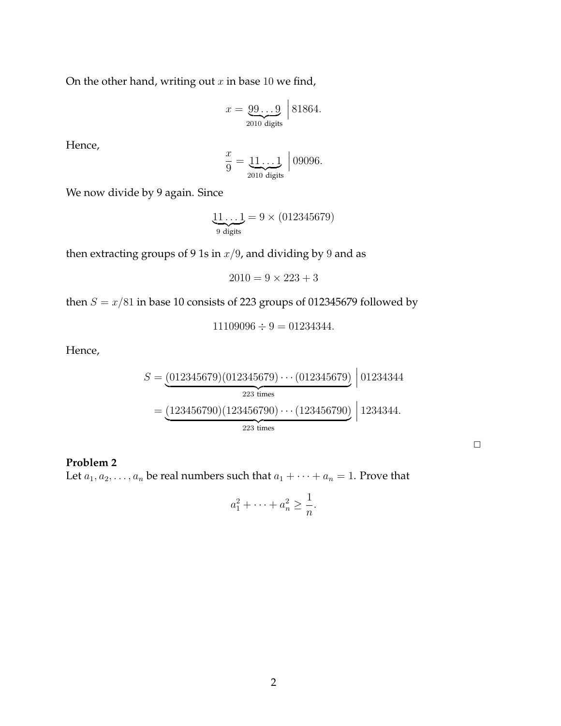On the other hand, writing out  $x$  in base 10 we find,

$$
x = \underbrace{99\ldots9}_{2010 \text{ digits}} \, \bigg| \, 81864.
$$

Hence,

$$
\frac{x}{9} = \underbrace{11\ldots1}_{2010 \text{ digits}} \Big| 09096.
$$

We now divide by 9 again. Since

$$
\underbrace{11\ldots1}_{9 \text{ digits}} = 9 \times (012345679)
$$

then extracting groups of 9 1s in  $x/9$ , and dividing by 9 and as

 $2010 = 9 \times 223 + 3$ 

then  $S = x/81$  in base 10 consists of 223 groups of 012345679 followed by

 $11109096 \div 9 = 01234344.$ 

Hence,

$$
S = \underbrace{(012345679)(012345679)\cdots(012345679)}_{223 \text{ times}} \Big| 01234344
$$

$$
= \underbrace{(123456790)(123456790)\cdots(123456790)}_{223 \text{ times}} \Big| 1234344.
$$

 $\Box$ 

### **Problem 2**

Let  $a_1, a_2, \ldots, a_n$  be real numbers such that  $a_1 + \cdots + a_n = 1$ . Prove that

$$
a_1^2 + \dots + a_n^2 \ge \frac{1}{n}.
$$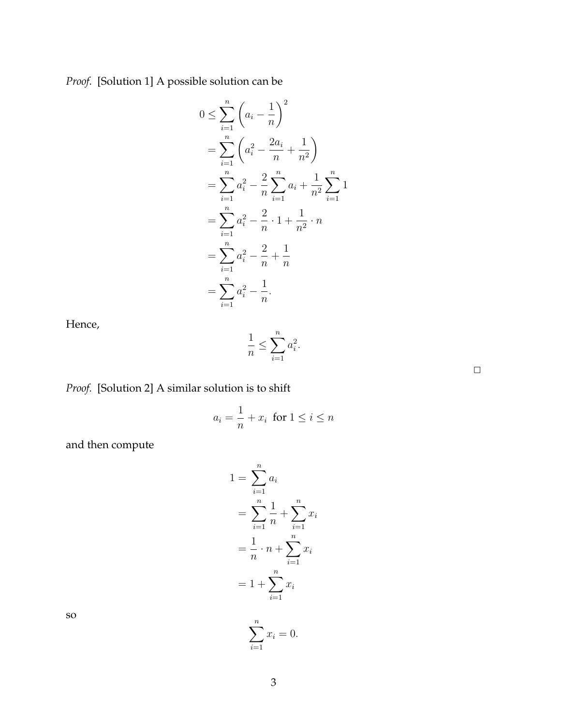*Proof.* [Solution 1] A possible solution can be

$$
0 \leq \sum_{i=1}^{n} \left( a_i - \frac{1}{n} \right)^2
$$
  
= 
$$
\sum_{i=1}^{n} \left( a_i^2 - \frac{2a_i}{n} + \frac{1}{n^2} \right)
$$
  
= 
$$
\sum_{i=1}^{n} a_i^2 - \frac{2}{n} \sum_{i=1}^{n} a_i + \frac{1}{n^2} \sum_{i=1}^{n} 1
$$
  
= 
$$
\sum_{i=1}^{n} a_i^2 - \frac{2}{n} \cdot 1 + \frac{1}{n^2} \cdot n
$$
  
= 
$$
\sum_{i=1}^{n} a_i^2 - \frac{2}{n} + \frac{1}{n}
$$
  
= 
$$
\sum_{i=1}^{n} a_i^2 - \frac{1}{n}.
$$

Hence,

$$
\frac{1}{n} \le \sum_{i=1}^n a_i^2.
$$

 $\Box$ 

*Proof.* [Solution 2] A similar solution is to shift

$$
a_i = \frac{1}{n} + x_i \text{ for } 1 \le i \le n
$$

and then compute

$$
1 = \sum_{i=1}^{n} a_i
$$
  
=  $\sum_{i=1}^{n} \frac{1}{n} + \sum_{i=1}^{n} x_i$   
=  $\frac{1}{n} \cdot n + \sum_{i=1}^{n} x_i$   
=  $1 + \sum_{i=1}^{n} x_i$ 

so

 $x_i = 0.$ 

 $\sum_{i=1}^n$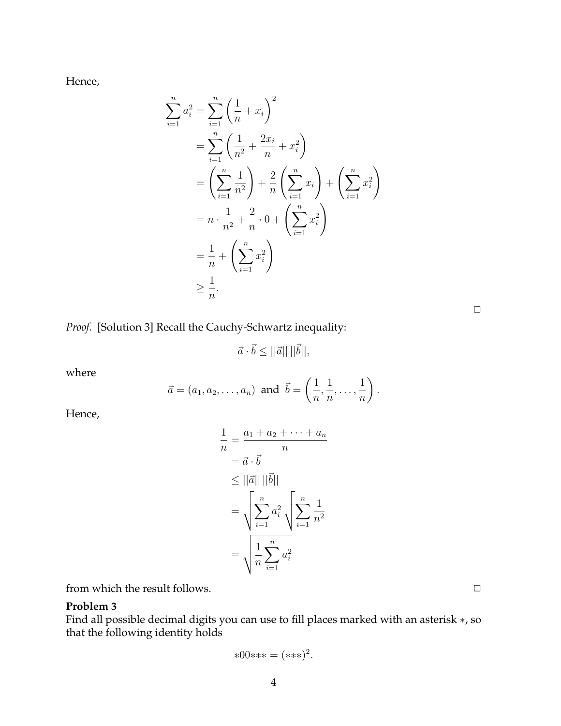Hence,

$$
\sum_{i=1}^{n} a_i^2 = \sum_{i=1}^{n} \left(\frac{1}{n} + x_i\right)^2
$$
  
= 
$$
\sum_{i=1}^{n} \left(\frac{1}{n^2} + \frac{2x_i}{n} + x_i^2\right)
$$
  
= 
$$
\left(\sum_{i=1}^{n} \frac{1}{n^2}\right) + \frac{2}{n} \left(\sum_{i=1}^{n} x_i\right) + \left(\sum_{i=1}^{n} x_i^2\right)
$$
  
= 
$$
n \cdot \frac{1}{n^2} + \frac{2}{n} \cdot 0 + \left(\sum_{i=1}^{n} x_i^2\right)
$$
  
= 
$$
\frac{1}{n} + \left(\sum_{i=1}^{n} x_i^2\right)
$$
  

$$
\geq \frac{1}{n}.
$$

| ____ |  |
|------|--|

*Proof.* [Solution 3] Recall the Cauchy-Schwartz inequality:

$$
\vec{a} \cdot \vec{b} \le ||\vec{a}|| \, ||\vec{b}||,
$$

where

$$
\vec{a}=(a_1,a_2,\ldots,a_n) \text{ and } \vec{b}=\left(\frac{1}{n},\frac{1}{n},\ldots,\frac{1}{n}\right).
$$

Hence,

$$
\frac{1}{n} = \frac{a_1 + a_2 + \dots + a_n}{n}
$$

$$
= \vec{a} \cdot \vec{b}
$$

$$
\leq ||\vec{a}|| ||\vec{b}||
$$

$$
= \sqrt{\sum_{i=1}^n a_i^2} \sqrt{\sum_{i=1}^n \frac{1}{n^2}}
$$

$$
= \sqrt{\frac{1}{n} \sum_{i=1}^n a_i^2}
$$

from which the result follows.  $\Box$ 

# **Problem 3**

Find all possible decimal digits you can use to fill places marked with an asterisk ∗, so that the following identity holds

$$
*00***=(***)^2.
$$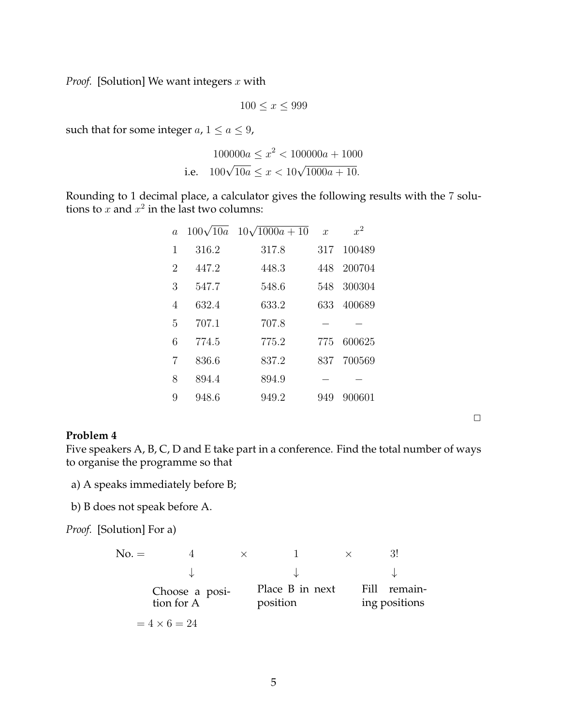*Proof.* [Solution] We want integers x with

$$
100 \le x \le 999
$$

such that for some integer  $a, 1 \le a \le 9$ ,

$$
100000a \le x^2 < 100000a + 1000
$$
\ni.e. 
$$
100\sqrt{10a} \le x < 10\sqrt{1000a + 10}.
$$

Rounding to 1 decimal place, a calculator gives the following results with the 7 solutions to  $x$  and  $x^2$  in the last two columns:

| $\overline{a}$ | $100\sqrt{10}a$ | $10\sqrt{1000a+10}$ | $\mathcal{X}$ | $x^2$  |
|----------------|-----------------|---------------------|---------------|--------|
| 1              | 316.2           | 317.8               | 317           | 100489 |
| $\overline{2}$ | 447.2           | 448.3               | 448           | 200704 |
| 3              | 547.7           | 548.6               | 548           | 300304 |
| $\overline{4}$ | 632.4           | 633.2               | 633           | 400689 |
| 5              | 707.1           | 707.8               |               |        |
| 6              | 774.5           | 775.2               | 775           | 600625 |
| 7              | 836.6           | 837.2               | 837           | 700569 |
| 8              | 894.4           | 894.9               |               |        |
| 9              | 948.6           | 949.2               | 949           | 900601 |

### **Problem 4**

Five speakers A, B, C, D and E take part in a conference. Find the total number of ways to organise the programme so that

 $\Box$ 

- a) A speaks immediately before B;
- b) B does not speak before A.

*Proof.* [Solution] For a)

No. = 4

\n
$$
\begin{array}{ccc}\n\downarrow & \downarrow & \downarrow \\
\downarrow & \downarrow & \downarrow \\
\downarrow & \downarrow & \downarrow \\
\downarrow & \downarrow & \downarrow \\
\downarrow & \downarrow & \downarrow \\
\downarrow & \downarrow & \downarrow \\
\downarrow & \downarrow & \downarrow \\
\downarrow & \downarrow & \downarrow \\
\downarrow & \downarrow & \downarrow \\
\downarrow & \downarrow & \downarrow \\
\downarrow & \downarrow & \downarrow \\
\downarrow & \downarrow & \downarrow \\
\downarrow & \downarrow & \downarrow \\
\downarrow & \downarrow & \downarrow \\
\downarrow & \downarrow & \downarrow \\
\downarrow & \downarrow & \downarrow \\
\downarrow & \downarrow & \downarrow \\
\downarrow & \downarrow & \downarrow \\
\downarrow & \downarrow & \downarrow \\
\downarrow & \downarrow & \downarrow \\
\downarrow & \downarrow & \downarrow \\
\downarrow & \downarrow & \downarrow \\
\downarrow & \downarrow & \downarrow \\
\downarrow & \downarrow & \downarrow \\
\downarrow & \downarrow & \downarrow \\
\downarrow & \downarrow & \downarrow \\
\downarrow & \downarrow & \downarrow \\
\downarrow & \downarrow & \downarrow \\
\downarrow & \downarrow & \downarrow \\
\downarrow & \downarrow & \downarrow \\
\downarrow & \downarrow & \downarrow & \downarrow \\
\downarrow & \downarrow & \downarrow & \downarrow \\
\downarrow & \downarrow & \downarrow & \downarrow \\
\downarrow & \downarrow & \downarrow & \downarrow \\
\downarrow & \downarrow & \downarrow & \downarrow & \downarrow \\
\downarrow & \downarrow & \downarrow & \downarrow & \downarrow \\
\downarrow & \downarrow & \downarrow & \downarrow & \downarrow \\
\downarrow & \downarrow & \downarrow & \downarrow & \downarrow \\
\downarrow & \downarrow & \downarrow & \downarrow & \downarrow \\
\downarrow & \downarrow & \downarrow & \downarrow & \downarrow \\
\downarrow &
$$

$$
= 4 \times 6 = 24
$$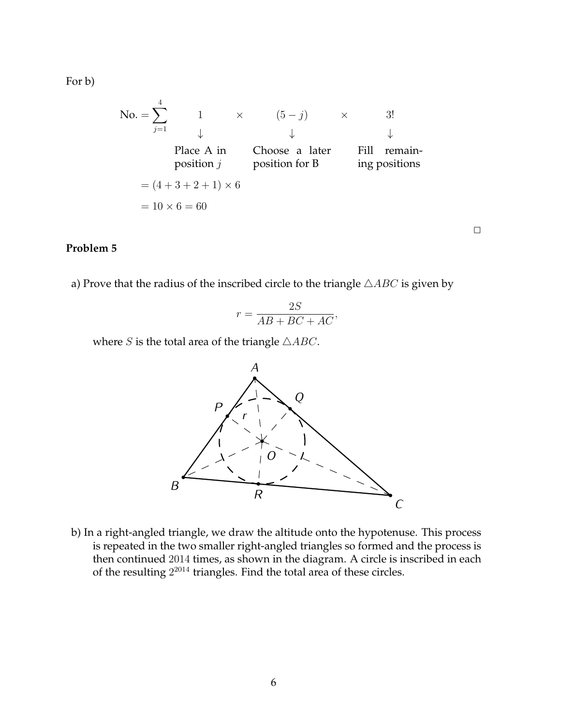For b)

No. = 
$$
\sum_{j=1}^{4}
$$
 1  $\times$   $(5-j)$   $\times$  3!  $\downarrow$  Place A in  $\downarrow$   $\downarrow$   $\downarrow$   $\downarrow$   $\downarrow$   $\downarrow$   $\downarrow$   $\downarrow$   $\downarrow$   $\downarrow$   $\downarrow$   $\downarrow$   $\downarrow$   $\downarrow$   $\downarrow$   $\downarrow$   $\downarrow$   $\downarrow$   $\downarrow$   $\downarrow$   $\downarrow$   $\downarrow$   $\downarrow$   $\downarrow$   $\downarrow$   $\downarrow$   $\downarrow$   $\downarrow$   $\downarrow$   $\downarrow$   $\downarrow$   $\downarrow$   $\downarrow$   $\downarrow$   $\downarrow$   $\downarrow$   $\downarrow$   $\downarrow$   $\downarrow$   $\downarrow$   $\downarrow$   $\downarrow$   $\downarrow$   $\downarrow$   $\downarrow$   $\downarrow$   $\downarrow$   $\downarrow$   $\downarrow$   $\downarrow$   $\downarrow$   $\downarrow$   $\downarrow$   $\downarrow$   $\downarrow$   $\downarrow$   $\downarrow$   $\downarrow$   $\downarrow$   $\downarrow$   $\downarrow$   $\downarrow$   $\downarrow$  <

## **Problem 5**

a) Prove that the radius of the inscribed circle to the triangle  $\triangle ABC$  is given by

$$
r = \frac{2S}{AB + BC + AC},
$$

 $\Box$ 

where *S* is the total area of the triangle  $\triangle ABC$ .



b) In a right-angled triangle, we draw the altitude onto the hypotenuse. This process is repeated in the two smaller right-angled triangles so formed and the process is then continued 2014 times, as shown in the diagram. A circle is inscribed in each of the resulting  $2^{2014}$  triangles. Find the total area of these circles.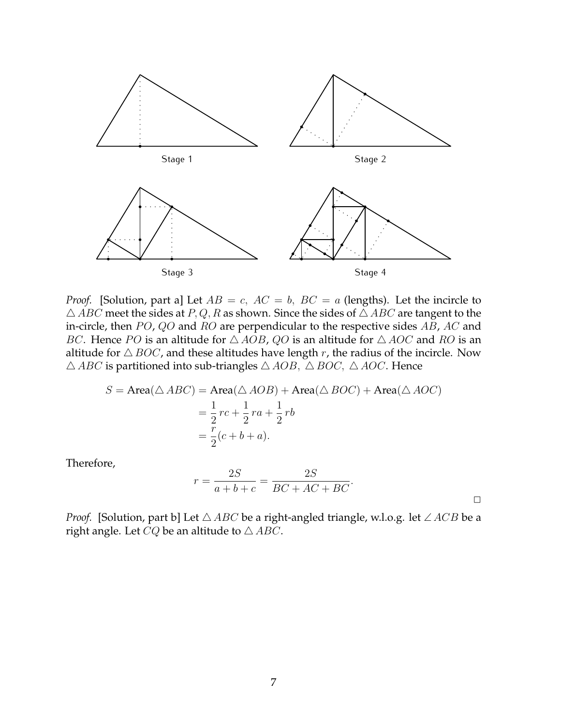

*Proof.* [Solution, part a] Let  $AB = c$ ,  $AC = b$ ,  $BC = a$  (lengths). Let the incircle to  $\triangle$  ABC meet the sides at P, Q, R as shown. Since the sides of  $\triangle$  ABC are tangent to the in-circle, then  $PO$ ,  $QO$  and  $RO$  are perpendicular to the respective sides  $AB$ ,  $AC$  and BC. Hence PO is an altitude for  $\triangle AOB$ , QO is an altitude for  $\triangle AOC$  and RO is an altitude for  $\triangle BOC$ , and these altitudes have length r, the radius of the incircle. Now  $\triangle$  ABC is partitioned into sub-triangles  $\triangle$  AOB,  $\triangle$  BOC,  $\triangle$  AOC. Hence

$$
S = \text{Area}(\triangle ABC) = \text{Area}(\triangle AOB) + \text{Area}(\triangle BOC) + \text{Area}(\triangle AOC)
$$
  
=  $\frac{1}{2}rc + \frac{1}{2}ra + \frac{1}{2}rb$   
=  $\frac{r}{2}(c + b + a).$ 

Therefore,

$$
r = \frac{2S}{a+b+c} = \frac{2S}{BC+AC+BC}.
$$

*Proof.* [Solution, part b] Let  $\triangle ABC$  be a right-angled triangle, w.l.o.g. let  $\angle ACB$  be a right angle. Let  $CQ$  be an altitude to  $\triangle ABC$ .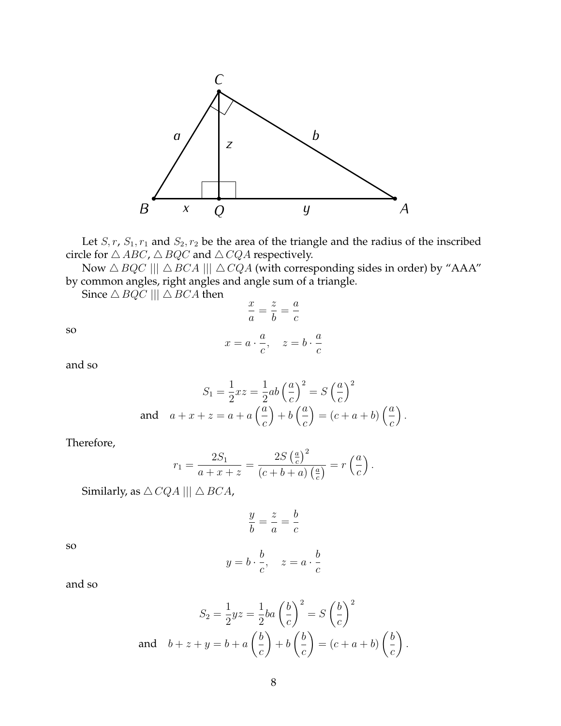

Let  $S, r, S_1, r_1$  and  $S_2, r_2$  be the area of the triangle and the radius of the inscribed circle for  $\triangle$   $ABC$  ,  $\triangle$   $BQC$  and  $\triangle$   $CQA$  respectively.

Now  $\triangle BQC \parallel \triangle BCA \parallel \triangle CQA$  (with corresponding sides in order) by "AAA" by common angles, right angles and angle sum of a triangle.

> $\overline{x}$ a = z b = a c

Since  $\triangle$  BQC |||  $\triangle$  BCA then

so

$$
x = a \cdot \frac{a}{c}, \quad z = b \cdot \frac{a}{c}
$$

and so

$$
S_1 = \frac{1}{2}xz = \frac{1}{2}ab\left(\frac{a}{c}\right)^2 = S\left(\frac{a}{c}\right)^2
$$
  
and 
$$
a + x + z = a + a\left(\frac{a}{c}\right) + b\left(\frac{a}{c}\right) = (c + a + b)\left(\frac{a}{c}\right).
$$

Therefore,

$$
r_1 = \frac{2S_1}{a+x+z} = \frac{2S\left(\frac{a}{c}\right)^2}{\left(c+b+a\right)\left(\frac{a}{c}\right)} = r\left(\frac{a}{c}\right).
$$

Similarly, as  $\triangle CQA \parallel\parallel \triangle BCA$ ,

$$
\frac{y}{b} = \frac{z}{a} = \frac{b}{c}
$$

so

$$
y = b \cdot \frac{b}{c}, \quad z = a \cdot \frac{b}{c}
$$

and so

$$
S_2 = \frac{1}{2}yz = \frac{1}{2}ba\left(\frac{b}{c}\right)^2 = S\left(\frac{b}{c}\right)^2
$$
  
and 
$$
b + z + y = b + a\left(\frac{b}{c}\right) + b\left(\frac{b}{c}\right) = (c + a + b)\left(\frac{b}{c}\right).
$$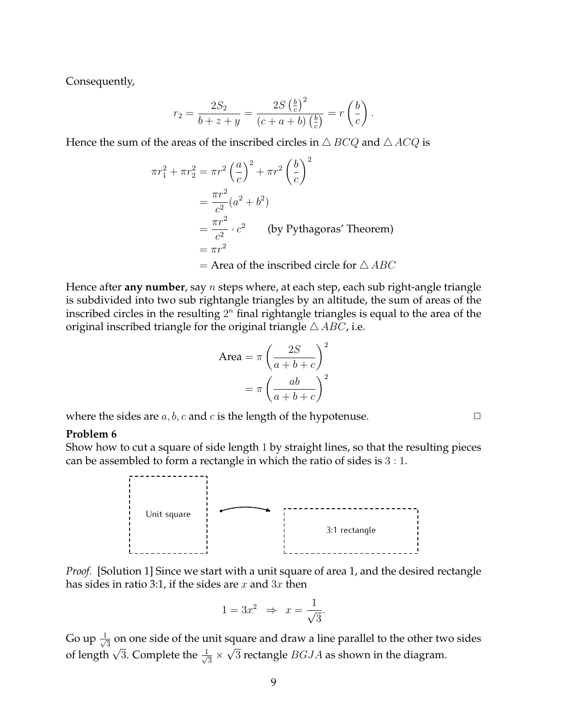Consequently,

$$
r_2 = \frac{2S_2}{b+z+y} = \frac{2S\left(\frac{b}{c}\right)^2}{(c+a+b)\left(\frac{b}{c}\right)} = r\left(\frac{b}{c}\right).
$$

Hence the sum of the areas of the inscribed circles in  $\triangle$  BCQ and  $\triangle$  ACQ is

$$
\pi r_1^2 + \pi r_2^2 = \pi r^2 \left(\frac{a}{c}\right)^2 + \pi r^2 \left(\frac{b}{c}\right)^2
$$
  
=  $\frac{\pi r^2}{c^2} (a^2 + b^2)$   
=  $\frac{\pi r^2}{c^2} \cdot c^2$  (by Pythagoras' Theorem)  
=  $\pi r^2$   
= Area of the inscribed circle for  $\triangle ABC$ 

Hence after **any number**, say n steps where, at each step, each sub right-angle triangle is subdivided into two sub rightangle triangles by an altitude, the sum of areas of the inscribed circles in the resulting  $2^n$  final rightangle triangles is equal to the area of the original inscribed triangle for the original triangle  $\triangle$  ABC, i.e.

Area = 
$$
\pi \left( \frac{2S}{a+b+c} \right)^2
$$
  
=  $\pi \left( \frac{ab}{a+b+c} \right)^2$ 

where the sides are  $a, b, c$  and  $c$  is the length of the hypotenuse.  $\Box$ 

#### **Problem 6**

Show how to cut a square of side length 1 by straight lines, so that the resulting pieces can be assembled to form a rectangle in which the ratio of sides is 3 : 1.



*Proof.* [Solution 1] Since we start with a unit square of area 1, and the desired rectangle has sides in ratio 3:1, if the sides are x and  $3x$  then

$$
1 = 3x^2 \Rightarrow x = \frac{1}{\sqrt{3}}.
$$

Go up  $\frac{1}{\sqrt{2}}$  $\frac{1}{3}$  on one side of the unit square and draw a line parallel to the other two sides of length  $\sqrt{3}$ . Complete the  $\frac{1}{\sqrt{3}}$  $\frac{1}{3} \times \sqrt{3}$  rectangle  $BGJA$  as shown in the diagram.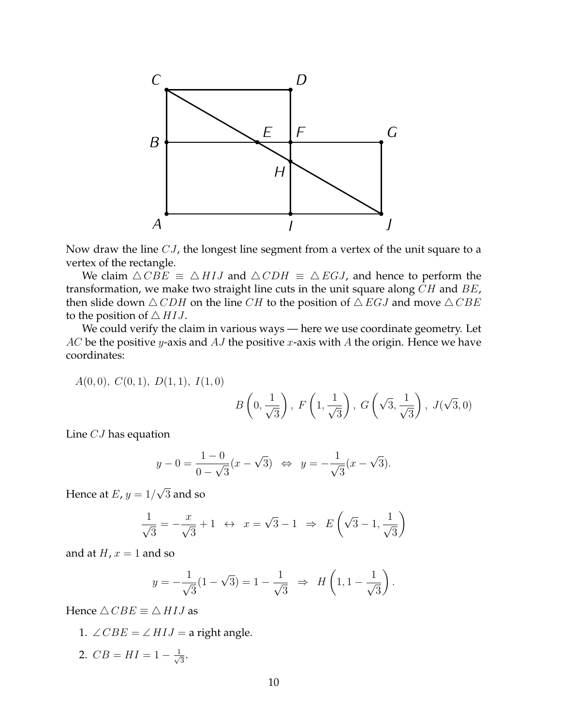

Now draw the line CJ, the longest line segment from a vertex of the unit square to a vertex of the rectangle.

We claim  $\triangle CBE \equiv \triangle HIJ$  and  $\triangle CDH \equiv \triangle EGJ$ , and hence to perform the transformation, we make two straight line cuts in the unit square along  $CH$  and  $BE$ , then slide down  $\triangle$  CDH on the line CH to the position of  $\triangle$  EGJ and move  $\triangle$  CBE to the position of  $\triangle H I J$ .

We could verify the claim in various ways — here we use coordinate geometry. Let  $AC$  be the positive y-axis and  $AJ$  the positive x-axis with  $A$  the origin. Hence we have coordinates:

A(0, 0), C(0, 1), D(1, 1), I(1, 0)

$$
B\left(0, \frac{1}{\sqrt{3}}\right), F\left(1, \frac{1}{\sqrt{3}}\right), G\left(\sqrt{3}, \frac{1}{\sqrt{3}}\right), J(\sqrt{3}, 0)
$$

Line CJ has equation

$$
y - 0 = \frac{1 - 0}{0 - \sqrt{3}} (x - \sqrt{3}) \iff y = -\frac{1}{\sqrt{3}} (x - \sqrt{3}).
$$

Hence at  $E$ ,  $y=1/$ √ 3 and so

$$
\frac{1}{\sqrt{3}} = -\frac{x}{\sqrt{3}} + 1 \leftrightarrow x = \sqrt{3} - 1 \Rightarrow E\left(\sqrt{3} - 1, \frac{1}{\sqrt{3}}\right)
$$

and at  $H$ ,  $x = 1$  and so

$$
y = -\frac{1}{\sqrt{3}}(1 - \sqrt{3}) = 1 - \frac{1}{\sqrt{3}} \Rightarrow H\left(1, 1 - \frac{1}{\sqrt{3}}\right).
$$

Hence  $\triangle$  CBE  $\equiv \triangle$  HIJ as

1. 
$$
\angle CBE = \angle HIJ
$$
 = a right angle.

2.  $CB = HI = 1 - \frac{1}{\sqrt{2}}$  $\frac{1}{3}$ .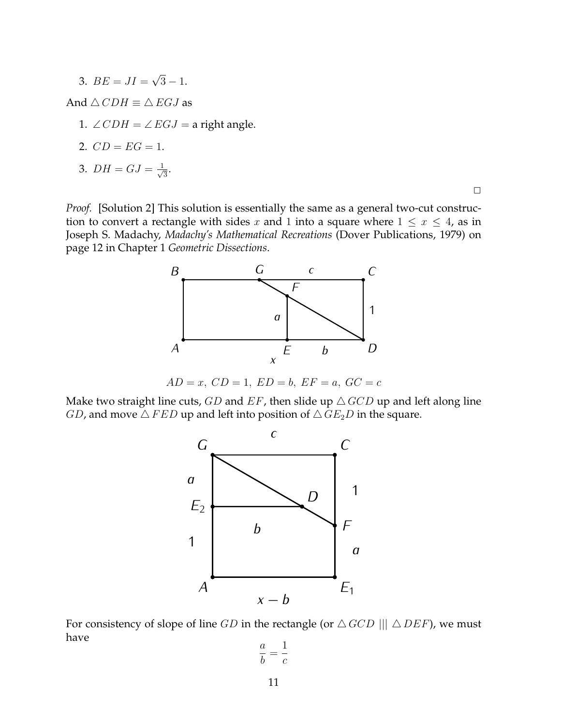3.  $BE = JI =$ √  $3 - 1.$ 

And  $\triangle$  CDH  $\equiv \triangle$  EGJ as

1. ∠  $CDH = \angle EGI = a$  right angle.

$$
C D = EG = 1.
$$

3. 
$$
DH = GJ = \frac{1}{\sqrt{3}}
$$
.

 $\Box$ 

*Proof.* [Solution 2] This solution is essentially the same as a general two-cut construction to convert a rectangle with sides x and 1 into a square where  $1 \leq x \leq 4$ , as in Joseph S. Madachy, *Madachy's Mathematical Recreations* (Dover Publications, 1979) on page 12 in Chapter 1 *Geometric Dissections*.



 $AD = x$ ,  $CD = 1$ ,  $ED = b$ ,  $EF = a$ ,  $GC = c$ 

Make two straight line cuts, GD and EF, then slide up  $\triangle$  GCD up and left along line *GD*, and move  $\triangle$  *FED* up and left into position of  $\triangle$  *GE*<sub>2</sub>*D* in the square.



For consistency of slope of line GD in the rectangle (or  $\triangle GCD \parallel \triangle DEF$ ), we must have

$$
\frac{a}{b} = \frac{1}{c}
$$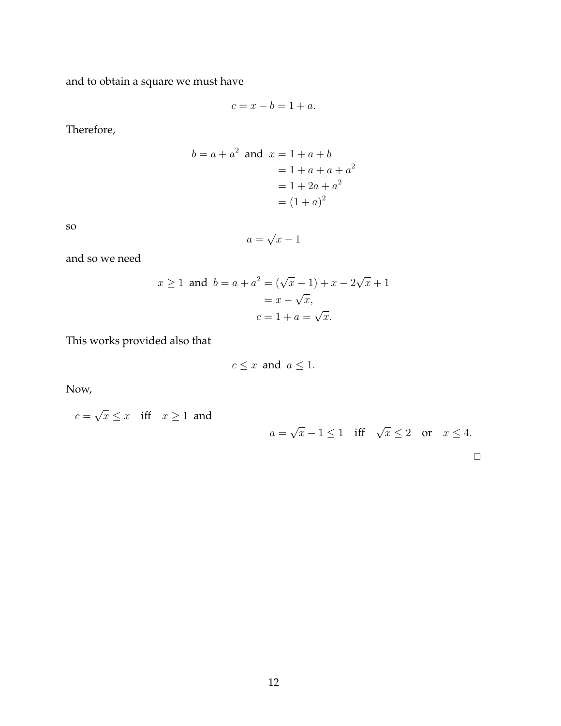and to obtain a square we must have

$$
c = x - b = 1 + a.
$$

Therefore,

$$
b = a + a2 \text{ and } x = 1 + a + b
$$
  
= 1 + a + a + a<sup>2</sup>  
= 1 + 2a + a<sup>2</sup>  
= (1 + a)<sup>2</sup>

so

$$
a = \sqrt{x} - 1
$$

and so we need

$$
x \ge 1
$$
 and  $b = a + a^2 = (\sqrt{x} - 1) + x - 2\sqrt{x} + 1$   
=  $x - \sqrt{x}$ ,  
 $c = 1 + a = \sqrt{x}$ .

This works provided also that

$$
c \le x \text{ and } a \le 1.
$$

Now,

$$
c = \sqrt{x} \le x \quad \text{iff} \quad x \ge 1 \text{ and}
$$

$$
a = \sqrt{x} - 1 \le 1 \quad \text{iff} \quad \sqrt{x} \le 2 \quad \text{or} \quad x \le 4.
$$

 $\Box$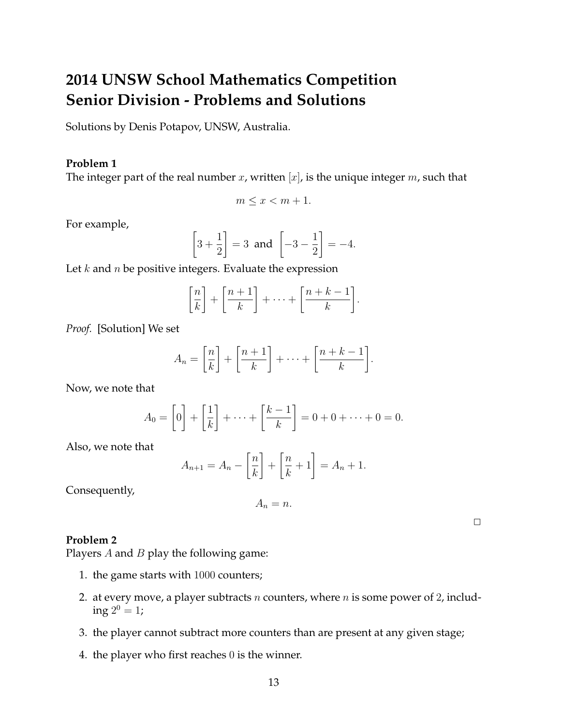# **2014 UNSW School Mathematics Competition Senior Division - Problems and Solutions**

Solutions by Denis Potapov, UNSW, Australia.

## **Problem 1**

The integer part of the real number  $x$ , written  $[x]$ , is the unique integer  $m$ , such that

$$
m \le x < m + 1.
$$

For example,

$$
\[3+\frac{1}{2}\] = 3 \text{ and } \[-3-\frac{1}{2}\] = -4.
$$

Let  $k$  and  $n$  be positive integers. Evaluate the expression

$$
\left[\frac{n}{k}\right] + \left[\frac{n+1}{k}\right] + \dots + \left[\frac{n+k-1}{k}\right].
$$

*Proof.* [Solution] We set

$$
A_n = \left[\frac{n}{k}\right] + \left[\frac{n+1}{k}\right] + \dots + \left[\frac{n+k-1}{k}\right].
$$

Now, we note that

$$
A_0 = \left[0\right] + \left[\frac{1}{k}\right] + \dots + \left[\frac{k-1}{k}\right] = 0 + 0 + \dots + 0 = 0.
$$

Also, we note that

$$
A_{n+1} = A_n - \left[\frac{n}{k}\right] + \left[\frac{n}{k} + 1\right] = A_n + 1.
$$

Consequently,

$$
A_n = n.
$$

 $\Box$ 

### **Problem 2**

Players  $A$  and  $B$  play the following game:

- 1. the game starts with 1000 counters;
- 2. at every move, a player subtracts  $n$  counters, where  $n$  is some power of 2, includ- $\text{ing } 2^0 = 1;$
- 3. the player cannot subtract more counters than are present at any given stage;
- 4. the player who first reaches 0 is the winner.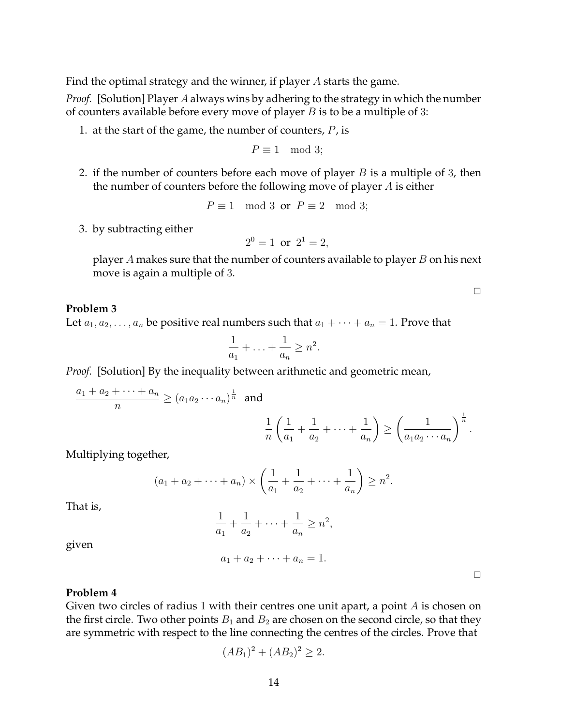Find the optimal strategy and the winner, if player A starts the game.

*Proof.* [Solution] Player A always wins by adhering to the strategy in which the number of counters available before every move of player  $B$  is to be a multiple of 3:

1. at the start of the game, the number of counters,  $P$ , is

$$
P \equiv 1 \mod 3;
$$

2. if the number of counters before each move of player  $B$  is a multiple of 3, then the number of counters before the following move of player  $A$  is either

$$
P \equiv 1 \mod 3 \text{ or } P \equiv 2 \mod 3;
$$

3. by subtracting either

$$
2^0 = 1
$$
 or  $2^1 = 2$ ,

player A makes sure that the number of counters available to player  $B$  on his next move is again a multiple of 3.

**Problem 3**

Let  $a_1, a_2, \ldots, a_n$  be positive real numbers such that  $a_1 + \cdots + a_n = 1$ . Prove that

$$
\frac{1}{a_1} + \ldots + \frac{1}{a_n} \ge n^2.
$$

*Proof.* [Solution] By the inequality between arithmetic and geometric mean,

$$
\frac{a_1 + a_2 + \dots + a_n}{n} \ge (a_1 a_2 \cdots a_n)^{\frac{1}{n}} \text{ and }
$$
  

$$
\frac{1}{n} \left( \frac{1}{a_1} + \frac{1}{a_2} + \cdots + \frac{1}{a_n} \right) \ge \left( \frac{1}{a_1 a_2 \cdots a_n} \right)^{\frac{1}{n}}.
$$

Multiplying together,

$$
(a_1 + a_2 + \dots + a_n) \times \left(\frac{1}{a_1} + \frac{1}{a_2} + \dots + \frac{1}{a_n}\right) \ge n^2.
$$

That is,

$$
\frac{1}{a_1} + \frac{1}{a_2} + \dots + \frac{1}{a_n} \ge n^2,
$$

 $a_1 + a_2 + \cdots + a_n = 1.$ 

given

 $\Box$ 

 $\Box$ 

#### **Problem 4**

Given two circles of radius 1 with their centres one unit apart, a point  $A$  is chosen on the first circle. Two other points  $B_1$  and  $B_2$  are chosen on the second circle, so that they are symmetric with respect to the line connecting the centres of the circles. Prove that

$$
(AB_1)^2 + (AB_2)^2 \ge 2.
$$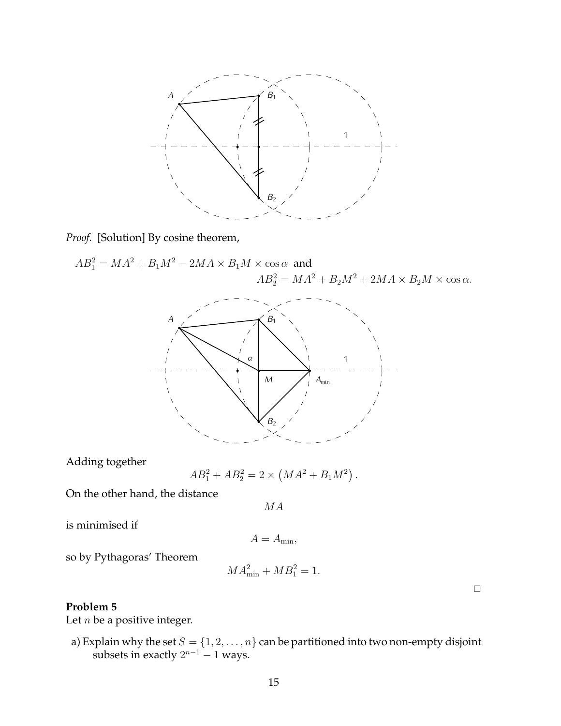

*Proof.* [Solution] By cosine theorem,

$$
AB_1^2 = MA^2 + B_1M^2 - 2MA \times B_1M \times \cos \alpha
$$
 and  

$$
AB_2^2 = MA^2 + B_2M^2 + 2MA \times B_2M \times \cos \alpha.
$$



Adding together

$$
AB_1^2 + AB_2^2 = 2 \times \left( MA^2 + B_1 M^2 \right).
$$

On the other hand, the distance

MA

is minimised if

$$
A=A_{\min},
$$

so by Pythagoras' Theorem

$$
MA_{\min}^2 + MB_1^2 = 1.
$$

 $\Box$ 

# **Problem 5**

Let  $n$  be a positive integer.

a) Explain why the set  $S = \{1,2,\ldots,n\}$  can be partitioned into two non-empty disjoint subsets in exactly  $2^{n-1} - 1$  ways.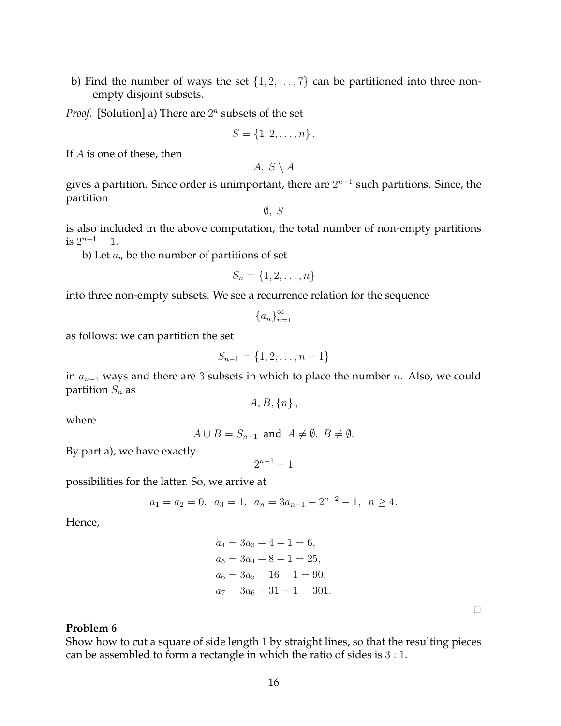b) Find the number of ways the set  $\{1, 2, \ldots, 7\}$  can be partitioned into three nonempty disjoint subsets.

*Proof.* [Solution] a) There are  $2^n$  subsets of the set

$$
S = \{1, 2, \ldots, n\}.
$$

If A is one of these, then

 $A, S \setminus A$ 

gives a partition. Since order is unimportant, there are  $2^{n-1}$  such partitions. Since, the partition

 $\emptyset$ , S

is also included in the above computation, the total number of non-empty partitions is  $2^{n-1} - 1$ .

b) Let  $a_n$  be the number of partitions of set

$$
S_n = \{1, 2, \ldots, n\}
$$

into three non-empty subsets. We see a recurrence relation for the sequence

$$
\{a_n\}_{n=1}^\infty
$$

as follows: we can partition the set

$$
S_{n-1} = \{1, 2, \dots, n-1\}
$$

in  $a_{n-1}$  ways and there are 3 subsets in which to place the number n. Also, we could partition  $S_n$  as

 $A, B, \{n\},\$ 

where

$$
A \cup B = S_{n-1} \text{ and } A \neq \emptyset, B \neq \emptyset.
$$

By part a), we have exactly

 $2^{n-1} - 1$ 

possibilities for the latter. So, we arrive at

$$
a_1 = a_2 = 0
$$
,  $a_3 = 1$ ,  $a_n = 3a_{n-1} + 2^{n-2} - 1$ ,  $n \ge 4$ .

Hence,

$$
a_4 = 3a_3 + 4 - 1 = 6,
$$
  
\n
$$
a_5 = 3a_4 + 8 - 1 = 25,
$$
  
\n
$$
a_6 = 3a_5 + 16 - 1 = 90,
$$
  
\n
$$
a_7 = 3a_6 + 31 - 1 = 301.
$$

 $\Box$ 

## **Problem 6**

Show how to cut a square of side length 1 by straight lines, so that the resulting pieces can be assembled to form a rectangle in which the ratio of sides is 3 : 1.